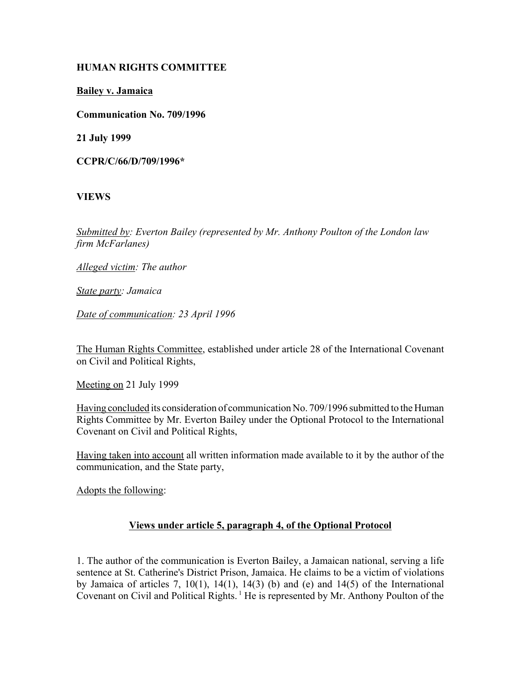### **HUMAN RIGHTS COMMITTEE**

**Bailey v. Jamaica**

**Communication No. 709/1996**

**21 July 1999**

**CCPR/C/66/D/709/1996\***

# **VIEWS**

*Submitted by: Everton Bailey (represented by Mr. Anthony Poulton of the London law firm McFarlanes)* 

*Alleged victim: The author* 

*State party: Jamaica* 

*Date of communication: 23 April 1996* 

The Human Rights Committee, established under article 28 of the International Covenant on Civil and Political Rights,

Meeting on 21 July 1999

Having concluded its consideration of communication No. 709/1996 submitted to the Human Rights Committee by Mr. Everton Bailey under the Optional Protocol to the International Covenant on Civil and Political Rights,

Having taken into account all written information made available to it by the author of the communication, and the State party,

Adopts the following:

# **Views under article 5, paragraph 4, of the Optional Protocol**

1. The author of the communication is Everton Bailey, a Jamaican national, serving a life sentence at St. Catherine's District Prison, Jamaica. He claims to be a victim of violations by Jamaica of articles  $7, 10(1), 14(1), 14(3)$  (b) and (e) and  $14(5)$  of the International Covenant on Civil and Political Rights.<sup>1</sup> He is represented by Mr. Anthony Poulton of the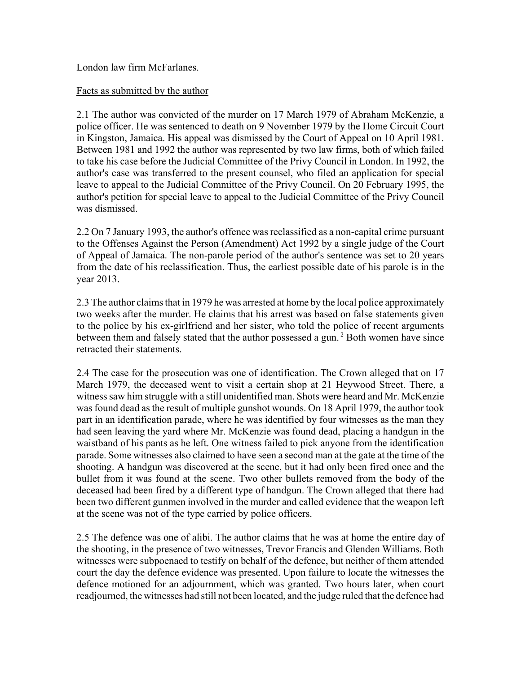London law firm McFarlanes.

#### Facts as submitted by the author

2.1 The author was convicted of the murder on 17 March 1979 of Abraham McKenzie, a police officer. He was sentenced to death on 9 November 1979 by the Home Circuit Court in Kingston, Jamaica. His appeal was dismissed by the Court of Appeal on 10 April 1981. Between 1981 and 1992 the author was represented by two law firms, both of which failed to take his case before the Judicial Committee of the Privy Council in London. In 1992, the author's case was transferred to the present counsel, who filed an application for special leave to appeal to the Judicial Committee of the Privy Council. On 20 February 1995, the author's petition for special leave to appeal to the Judicial Committee of the Privy Council was dismissed.

2.2 On 7 January 1993, the author's offence was reclassified as a non-capital crime pursuant to the Offenses Against the Person (Amendment) Act 1992 by a single judge of the Court of Appeal of Jamaica. The non-parole period of the author's sentence was set to 20 years from the date of his reclassification. Thus, the earliest possible date of his parole is in the year 2013.

2.3 The author claims that in 1979 he was arrested at home by the local police approximately two weeks after the murder. He claims that his arrest was based on false statements given to the police by his ex-girlfriend and her sister, who told the police of recent arguments between them and falsely stated that the author possessed a gun.<sup>2</sup> Both women have since retracted their statements.

2.4 The case for the prosecution was one of identification. The Crown alleged that on 17 March 1979, the deceased went to visit a certain shop at 21 Heywood Street. There, a witness saw him struggle with a still unidentified man. Shots were heard and Mr. McKenzie was found dead as the result of multiple gunshot wounds. On 18 April 1979, the author took part in an identification parade, where he was identified by four witnesses as the man they had seen leaving the yard where Mr. McKenzie was found dead, placing a handgun in the waistband of his pants as he left. One witness failed to pick anyone from the identification parade. Some witnesses also claimed to have seen a second man at the gate at the time of the shooting. A handgun was discovered at the scene, but it had only been fired once and the bullet from it was found at the scene. Two other bullets removed from the body of the deceased had been fired by a different type of handgun. The Crown alleged that there had been two different gunmen involved in the murder and called evidence that the weapon left at the scene was not of the type carried by police officers.

2.5 The defence was one of alibi. The author claims that he was at home the entire day of the shooting, in the presence of two witnesses, Trevor Francis and Glenden Williams. Both witnesses were subpoenaed to testify on behalf of the defence, but neither of them attended court the day the defence evidence was presented. Upon failure to locate the witnesses the defence motioned for an adjournment, which was granted. Two hours later, when court readjourned, the witnesses had still not been located, and the judge ruled that the defence had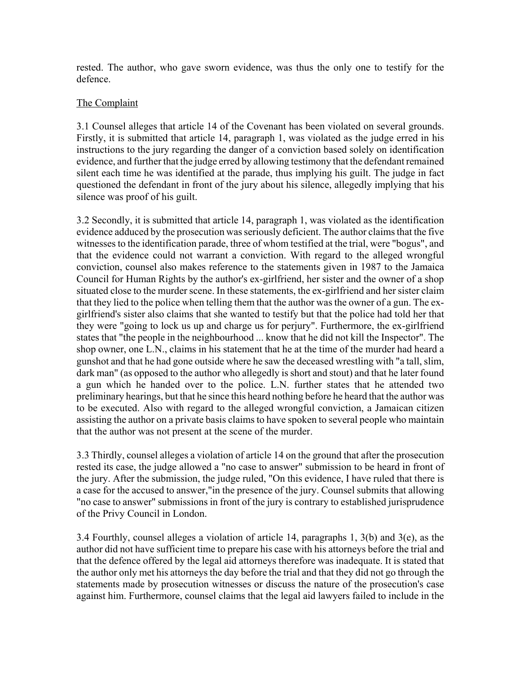rested. The author, who gave sworn evidence, was thus the only one to testify for the defence.

# The Complaint

3.1 Counsel alleges that article 14 of the Covenant has been violated on several grounds. Firstly, it is submitted that article 14, paragraph 1, was violated as the judge erred in his instructions to the jury regarding the danger of a conviction based solely on identification evidence, and further that the judge erred by allowing testimony that the defendant remained silent each time he was identified at the parade, thus implying his guilt. The judge in fact questioned the defendant in front of the jury about his silence, allegedly implying that his silence was proof of his guilt.

3.2 Secondly, it is submitted that article 14, paragraph 1, was violated as the identification evidence adduced by the prosecution was seriously deficient. The author claims that the five witnesses to the identification parade, three of whom testified at the trial, were "bogus", and that the evidence could not warrant a conviction. With regard to the alleged wrongful conviction, counsel also makes reference to the statements given in 1987 to the Jamaica Council for Human Rights by the author's ex-girlfriend, her sister and the owner of a shop situated close to the murder scene. In these statements, the ex-girlfriend and her sister claim that they lied to the police when telling them that the author was the owner of a gun. The exgirlfriend's sister also claims that she wanted to testify but that the police had told her that they were "going to lock us up and charge us for perjury". Furthermore, the ex-girlfriend states that "the people in the neighbourhood ... know that he did not kill the Inspector". The shop owner, one L.N., claims in his statement that he at the time of the murder had heard a gunshot and that he had gone outside where he saw the deceased wrestling with "a tall, slim, dark man" (as opposed to the author who allegedly is short and stout) and that he later found a gun which he handed over to the police. L.N. further states that he attended two preliminary hearings, but that he since this heard nothing before he heard that the author was to be executed. Also with regard to the alleged wrongful conviction, a Jamaican citizen assisting the author on a private basis claims to have spoken to several people who maintain that the author was not present at the scene of the murder.

3.3 Thirdly, counsel alleges a violation of article 14 on the ground that after the prosecution rested its case, the judge allowed a "no case to answer" submission to be heard in front of the jury. After the submission, the judge ruled, "On this evidence, I have ruled that there is a case for the accused to answer,"in the presence of the jury. Counsel submits that allowing "no case to answer" submissions in front of the jury is contrary to established jurisprudence of the Privy Council in London.

3.4 Fourthly, counsel alleges a violation of article 14, paragraphs 1, 3(b) and 3(e), as the author did not have sufficient time to prepare his case with his attorneys before the trial and that the defence offered by the legal aid attorneys therefore was inadequate. It is stated that the author only met his attorneys the day before the trial and that they did not go through the statements made by prosecution witnesses or discuss the nature of the prosecution's case against him. Furthermore, counsel claims that the legal aid lawyers failed to include in the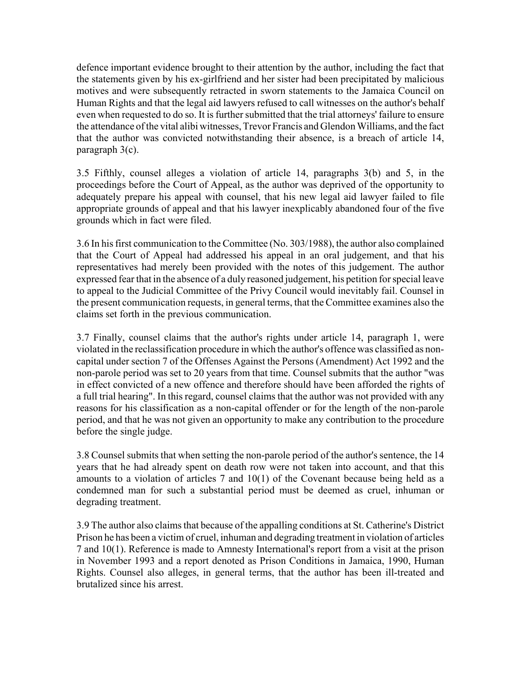defence important evidence brought to their attention by the author, including the fact that the statements given by his ex-girlfriend and her sister had been precipitated by malicious motives and were subsequently retracted in sworn statements to the Jamaica Council on Human Rights and that the legal aid lawyers refused to call witnesses on the author's behalf even when requested to do so. It is further submitted that the trial attorneys' failure to ensure the attendance of the vital alibi witnesses, Trevor Francis and Glendon Williams, and the fact that the author was convicted notwithstanding their absence, is a breach of article 14, paragraph 3(c).

3.5 Fifthly, counsel alleges a violation of article 14, paragraphs 3(b) and 5, in the proceedings before the Court of Appeal, as the author was deprived of the opportunity to adequately prepare his appeal with counsel, that his new legal aid lawyer failed to file appropriate grounds of appeal and that his lawyer inexplicably abandoned four of the five grounds which in fact were filed.

3.6 In his first communication to the Committee (No. 303/1988), the author also complained that the Court of Appeal had addressed his appeal in an oral judgement, and that his representatives had merely been provided with the notes of this judgement. The author expressed fear that in the absence of a duly reasoned judgement, his petition for special leave to appeal to the Judicial Committee of the Privy Council would inevitably fail. Counsel in the present communication requests, in general terms, that the Committee examines also the claims set forth in the previous communication.

3.7 Finally, counsel claims that the author's rights under article 14, paragraph 1, were violated in the reclassification procedure in which the author's offence was classified as noncapital under section 7 of the Offenses Against the Persons (Amendment) Act 1992 and the non-parole period was set to 20 years from that time. Counsel submits that the author "was in effect convicted of a new offence and therefore should have been afforded the rights of a full trial hearing". In this regard, counsel claims that the author was not provided with any reasons for his classification as a non-capital offender or for the length of the non-parole period, and that he was not given an opportunity to make any contribution to the procedure before the single judge.

3.8 Counsel submits that when setting the non-parole period of the author's sentence, the 14 years that he had already spent on death row were not taken into account, and that this amounts to a violation of articles 7 and 10(1) of the Covenant because being held as a condemned man for such a substantial period must be deemed as cruel, inhuman or degrading treatment.

3.9 The author also claims that because of the appalling conditions at St. Catherine's District Prison he has been a victim of cruel, inhuman and degrading treatment in violation of articles 7 and 10(1). Reference is made to Amnesty International's report from a visit at the prison in November 1993 and a report denoted as Prison Conditions in Jamaica, 1990, Human Rights. Counsel also alleges, in general terms, that the author has been ill-treated and brutalized since his arrest.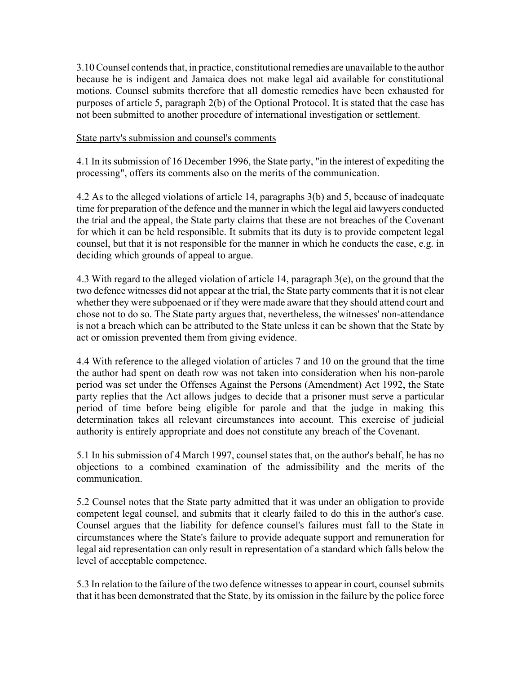3.10 Counsel contends that, in practice, constitutional remedies are unavailable to the author because he is indigent and Jamaica does not make legal aid available for constitutional motions. Counsel submits therefore that all domestic remedies have been exhausted for purposes of article 5, paragraph 2(b) of the Optional Protocol. It is stated that the case has not been submitted to another procedure of international investigation or settlement.

#### State party's submission and counsel's comments

4.1 In its submission of 16 December 1996, the State party, "in the interest of expediting the processing", offers its comments also on the merits of the communication.

4.2 As to the alleged violations of article 14, paragraphs 3(b) and 5, because of inadequate time for preparation of the defence and the manner in which the legal aid lawyers conducted the trial and the appeal, the State party claims that these are not breaches of the Covenant for which it can be held responsible. It submits that its duty is to provide competent legal counsel, but that it is not responsible for the manner in which he conducts the case, e.g. in deciding which grounds of appeal to argue.

4.3 With regard to the alleged violation of article 14, paragraph 3(e), on the ground that the two defence witnesses did not appear at the trial, the State party comments that it is not clear whether they were subpoenaed or if they were made aware that they should attend court and chose not to do so. The State party argues that, nevertheless, the witnesses' non-attendance is not a breach which can be attributed to the State unless it can be shown that the State by act or omission prevented them from giving evidence.

4.4 With reference to the alleged violation of articles 7 and 10 on the ground that the time the author had spent on death row was not taken into consideration when his non-parole period was set under the Offenses Against the Persons (Amendment) Act 1992, the State party replies that the Act allows judges to decide that a prisoner must serve a particular period of time before being eligible for parole and that the judge in making this determination takes all relevant circumstances into account. This exercise of judicial authority is entirely appropriate and does not constitute any breach of the Covenant.

5.1 In his submission of 4 March 1997, counsel states that, on the author's behalf, he has no objections to a combined examination of the admissibility and the merits of the communication.

5.2 Counsel notes that the State party admitted that it was under an obligation to provide competent legal counsel, and submits that it clearly failed to do this in the author's case. Counsel argues that the liability for defence counsel's failures must fall to the State in circumstances where the State's failure to provide adequate support and remuneration for legal aid representation can only result in representation of a standard which falls below the level of acceptable competence.

5.3 In relation to the failure of the two defence witnesses to appear in court, counsel submits that it has been demonstrated that the State, by its omission in the failure by the police force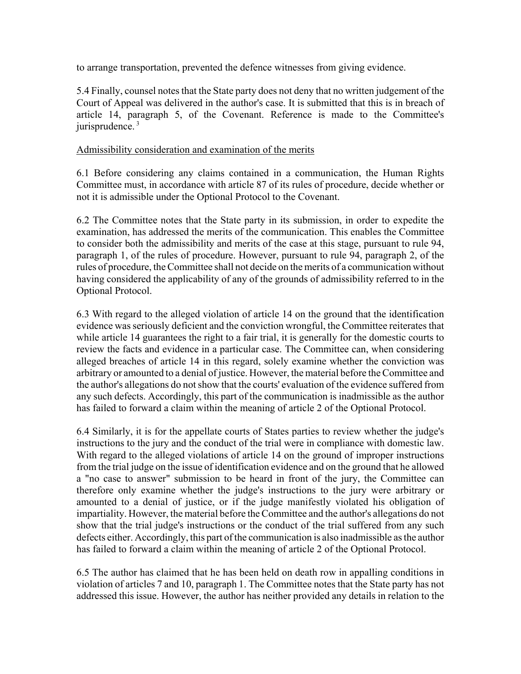to arrange transportation, prevented the defence witnesses from giving evidence.

5.4 Finally, counsel notes that the State party does not deny that no written judgement of the Court of Appeal was delivered in the author's case. It is submitted that this is in breach of article 14, paragraph 5, of the Covenant. Reference is made to the Committee's jurisprudence.<sup>3</sup>

#### Admissibility consideration and examination of the merits

6.1 Before considering any claims contained in a communication, the Human Rights Committee must, in accordance with article 87 of its rules of procedure, decide whether or not it is admissible under the Optional Protocol to the Covenant.

6.2 The Committee notes that the State party in its submission, in order to expedite the examination, has addressed the merits of the communication. This enables the Committee to consider both the admissibility and merits of the case at this stage, pursuant to rule 94, paragraph 1, of the rules of procedure. However, pursuant to rule 94, paragraph 2, of the rules of procedure, the Committee shall not decide on the merits of a communication without having considered the applicability of any of the grounds of admissibility referred to in the Optional Protocol.

6.3 With regard to the alleged violation of article 14 on the ground that the identification evidence was seriously deficient and the conviction wrongful, the Committee reiterates that while article 14 guarantees the right to a fair trial, it is generally for the domestic courts to review the facts and evidence in a particular case. The Committee can, when considering alleged breaches of article 14 in this regard, solely examine whether the conviction was arbitrary or amounted to a denial of justice. However, the material before the Committee and the author's allegations do not show that the courts' evaluation of the evidence suffered from any such defects. Accordingly, this part of the communication is inadmissible as the author has failed to forward a claim within the meaning of article 2 of the Optional Protocol.

6.4 Similarly, it is for the appellate courts of States parties to review whether the judge's instructions to the jury and the conduct of the trial were in compliance with domestic law. With regard to the alleged violations of article 14 on the ground of improper instructions from the trial judge on the issue of identification evidence and on the ground that he allowed a "no case to answer" submission to be heard in front of the jury, the Committee can therefore only examine whether the judge's instructions to the jury were arbitrary or amounted to a denial of justice, or if the judge manifestly violated his obligation of impartiality. However, the material before the Committee and the author's allegations do not show that the trial judge's instructions or the conduct of the trial suffered from any such defects either. Accordingly, this part of the communication is also inadmissible as the author has failed to forward a claim within the meaning of article 2 of the Optional Protocol.

6.5 The author has claimed that he has been held on death row in appalling conditions in violation of articles 7 and 10, paragraph 1. The Committee notes that the State party has not addressed this issue. However, the author has neither provided any details in relation to the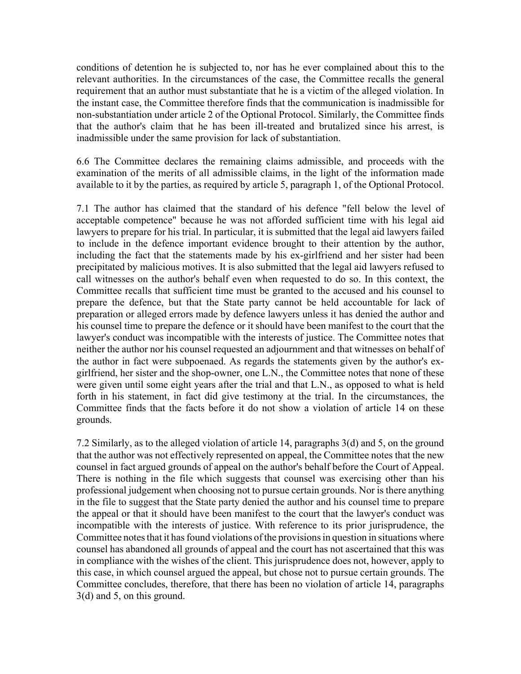conditions of detention he is subjected to, nor has he ever complained about this to the relevant authorities. In the circumstances of the case, the Committee recalls the general requirement that an author must substantiate that he is a victim of the alleged violation. In the instant case, the Committee therefore finds that the communication is inadmissible for non-substantiation under article 2 of the Optional Protocol. Similarly, the Committee finds that the author's claim that he has been ill-treated and brutalized since his arrest, is inadmissible under the same provision for lack of substantiation.

6.6 The Committee declares the remaining claims admissible, and proceeds with the examination of the merits of all admissible claims, in the light of the information made available to it by the parties, as required by article 5, paragraph 1, of the Optional Protocol.

7.1 The author has claimed that the standard of his defence "fell below the level of acceptable competence" because he was not afforded sufficient time with his legal aid lawyers to prepare for his trial. In particular, it is submitted that the legal aid lawyers failed to include in the defence important evidence brought to their attention by the author, including the fact that the statements made by his ex-girlfriend and her sister had been precipitated by malicious motives. It is also submitted that the legal aid lawyers refused to call witnesses on the author's behalf even when requested to do so. In this context, the Committee recalls that sufficient time must be granted to the accused and his counsel to prepare the defence, but that the State party cannot be held accountable for lack of preparation or alleged errors made by defence lawyers unless it has denied the author and his counsel time to prepare the defence or it should have been manifest to the court that the lawyer's conduct was incompatible with the interests of justice. The Committee notes that neither the author nor his counsel requested an adjournment and that witnesses on behalf of the author in fact were subpoenaed. As regards the statements given by the author's exgirlfriend, her sister and the shop-owner, one L.N., the Committee notes that none of these were given until some eight years after the trial and that L.N., as opposed to what is held forth in his statement, in fact did give testimony at the trial. In the circumstances, the Committee finds that the facts before it do not show a violation of article 14 on these grounds.

7.2 Similarly, as to the alleged violation of article 14, paragraphs 3(d) and 5, on the ground that the author was not effectively represented on appeal, the Committee notes that the new counsel in fact argued grounds of appeal on the author's behalf before the Court of Appeal. There is nothing in the file which suggests that counsel was exercising other than his professional judgement when choosing not to pursue certain grounds. Nor is there anything in the file to suggest that the State party denied the author and his counsel time to prepare the appeal or that it should have been manifest to the court that the lawyer's conduct was incompatible with the interests of justice. With reference to its prior jurisprudence, the Committee notes that it has found violations of the provisions in question in situations where counsel has abandoned all grounds of appeal and the court has not ascertained that this was in compliance with the wishes of the client. This jurisprudence does not, however, apply to this case, in which counsel argued the appeal, but chose not to pursue certain grounds. The Committee concludes, therefore, that there has been no violation of article 14, paragraphs 3(d) and 5, on this ground.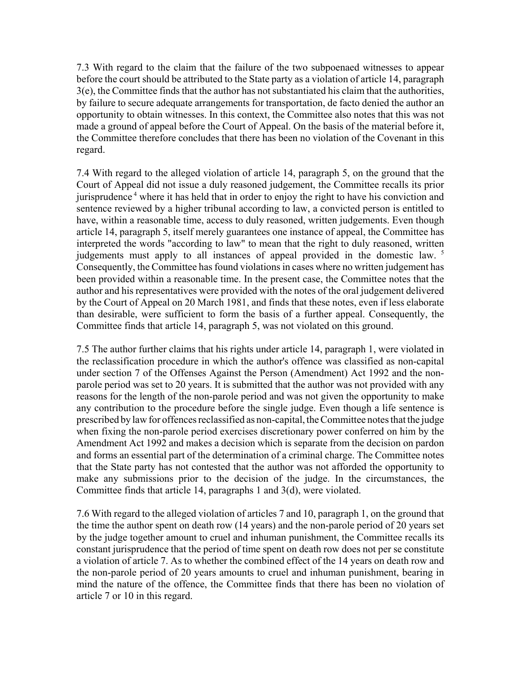7.3 With regard to the claim that the failure of the two subpoenaed witnesses to appear before the court should be attributed to the State party as a violation of article 14, paragraph 3(e), the Committee finds that the author has not substantiated his claim that the authorities, by failure to secure adequate arrangements for transportation, de facto denied the author an opportunity to obtain witnesses. In this context, the Committee also notes that this was not made a ground of appeal before the Court of Appeal. On the basis of the material before it, the Committee therefore concludes that there has been no violation of the Covenant in this regard.

7.4 With regard to the alleged violation of article 14, paragraph 5, on the ground that the Court of Appeal did not issue a duly reasoned judgement, the Committee recalls its prior jurisprudence 4 where it has held that in order to enjoy the right to have his conviction and sentence reviewed by a higher tribunal according to law, a convicted person is entitled to have, within a reasonable time, access to duly reasoned, written judgements. Even though article 14, paragraph 5, itself merely guarantees one instance of appeal, the Committee has interpreted the words "according to law" to mean that the right to duly reasoned, written judgements must apply to all instances of appeal provided in the domestic law. <sup>5</sup> Consequently, the Committee has found violations in cases where no written judgement has been provided within a reasonable time. In the present case, the Committee notes that the author and his representatives were provided with the notes of the oral judgement delivered by the Court of Appeal on 20 March 1981, and finds that these notes, even if less elaborate than desirable, were sufficient to form the basis of a further appeal. Consequently, the Committee finds that article 14, paragraph 5, was not violated on this ground.

7.5 The author further claims that his rights under article 14, paragraph 1, were violated in the reclassification procedure in which the author's offence was classified as non-capital under section 7 of the Offenses Against the Person (Amendment) Act 1992 and the nonparole period was set to 20 years. It is submitted that the author was not provided with any reasons for the length of the non-parole period and was not given the opportunity to make any contribution to the procedure before the single judge. Even though a life sentence is prescribed by law for offences reclassified as non-capital, the Committee notes that the judge when fixing the non-parole period exercises discretionary power conferred on him by the Amendment Act 1992 and makes a decision which is separate from the decision on pardon and forms an essential part of the determination of a criminal charge. The Committee notes that the State party has not contested that the author was not afforded the opportunity to make any submissions prior to the decision of the judge. In the circumstances, the Committee finds that article 14, paragraphs 1 and 3(d), were violated.

7.6 With regard to the alleged violation of articles 7 and 10, paragraph 1, on the ground that the time the author spent on death row (14 years) and the non-parole period of 20 years set by the judge together amount to cruel and inhuman punishment, the Committee recalls its constant jurisprudence that the period of time spent on death row does not per se constitute a violation of article 7. As to whether the combined effect of the 14 years on death row and the non-parole period of 20 years amounts to cruel and inhuman punishment, bearing in mind the nature of the offence, the Committee finds that there has been no violation of article 7 or 10 in this regard.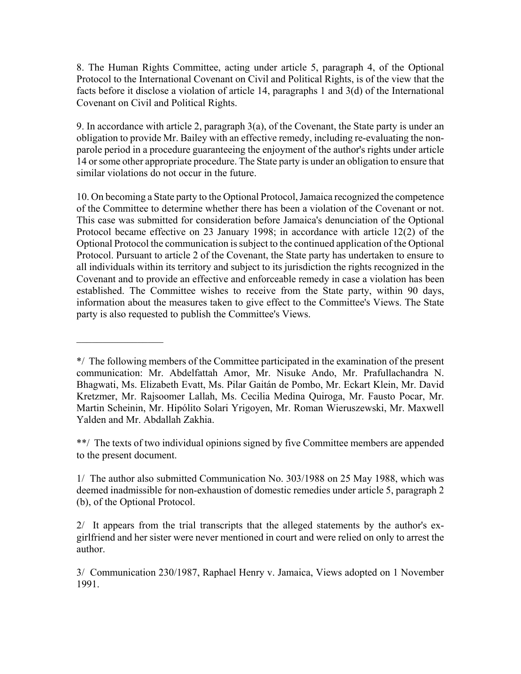8. The Human Rights Committee, acting under article 5, paragraph 4, of the Optional Protocol to the International Covenant on Civil and Political Rights, is of the view that the facts before it disclose a violation of article 14, paragraphs 1 and 3(d) of the International Covenant on Civil and Political Rights.

9. In accordance with article 2, paragraph 3(a), of the Covenant, the State party is under an obligation to provide Mr. Bailey with an effective remedy, including re-evaluating the nonparole period in a procedure guaranteeing the enjoyment of the author's rights under article 14 or some other appropriate procedure. The State party is under an obligation to ensure that similar violations do not occur in the future.

10. On becoming a State party to the Optional Protocol, Jamaica recognized the competence of the Committee to determine whether there has been a violation of the Covenant or not. This case was submitted for consideration before Jamaica's denunciation of the Optional Protocol became effective on 23 January 1998; in accordance with article 12(2) of the Optional Protocol the communication is subject to the continued application of the Optional Protocol. Pursuant to article 2 of the Covenant, the State party has undertaken to ensure to all individuals within its territory and subject to its jurisdiction the rights recognized in the Covenant and to provide an effective and enforceable remedy in case a violation has been established. The Committee wishes to receive from the State party, within 90 days, information about the measures taken to give effect to the Committee's Views. The State party is also requested to publish the Committee's Views.

 $\frac{1}{2}$ 

\*\*/ The texts of two individual opinions signed by five Committee members are appended to the present document.

1/ The author also submitted Communication No. 303/1988 on 25 May 1988, which was deemed inadmissible for non-exhaustion of domestic remedies under article 5, paragraph 2 (b), of the Optional Protocol.

2/ It appears from the trial transcripts that the alleged statements by the author's exgirlfriend and her sister were never mentioned in court and were relied on only to arrest the author.

3/ Communication 230/1987, Raphael Henry v. Jamaica, Views adopted on 1 November 1991.

<sup>\*/</sup> The following members of the Committee participated in the examination of the present communication: Mr. Abdelfattah Amor, Mr. Nisuke Ando, Mr. Prafullachandra N. Bhagwati, Ms. Elizabeth Evatt, Ms. Pilar Gaitán de Pombo, Mr. Eckart Klein, Mr. David Kretzmer, Mr. Rajsoomer Lallah, Ms. Cecilia Medina Quiroga, Mr. Fausto Pocar, Mr. Martin Scheinin, Mr. Hipólito Solari Yrigoyen, Mr. Roman Wieruszewski, Mr. Maxwell Yalden and Mr. Abdallah Zakhia.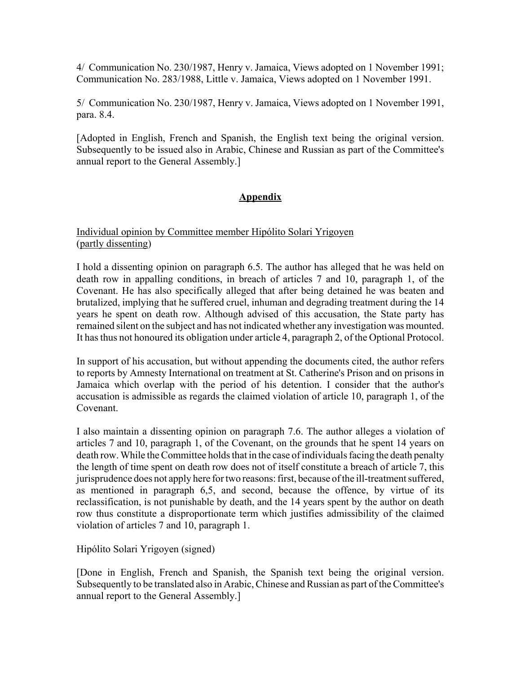4/ Communication No. 230/1987, Henry v. Jamaica, Views adopted on 1 November 1991; Communication No. 283/1988, Little v. Jamaica, Views adopted on 1 November 1991.

5/ Communication No. 230/1987, Henry v. Jamaica, Views adopted on 1 November 1991, para. 8.4.

[Adopted in English, French and Spanish, the English text being the original version. Subsequently to be issued also in Arabic, Chinese and Russian as part of the Committee's annual report to the General Assembly.]

# **Appendix**

#### Individual opinion by Committee member Hipólito Solari Yrigoyen (partly dissenting)

I hold a dissenting opinion on paragraph 6.5. The author has alleged that he was held on death row in appalling conditions, in breach of articles 7 and 10, paragraph 1, of the Covenant. He has also specifically alleged that after being detained he was beaten and brutalized, implying that he suffered cruel, inhuman and degrading treatment during the 14 years he spent on death row. Although advised of this accusation, the State party has remained silent on the subject and has not indicated whether any investigation was mounted. It has thus not honoured its obligation under article 4, paragraph 2, of the Optional Protocol.

In support of his accusation, but without appending the documents cited, the author refers to reports by Amnesty International on treatment at St. Catherine's Prison and on prisons in Jamaica which overlap with the period of his detention. I consider that the author's accusation is admissible as regards the claimed violation of article 10, paragraph 1, of the Covenant.

I also maintain a dissenting opinion on paragraph 7.6. The author alleges a violation of articles 7 and 10, paragraph 1, of the Covenant, on the grounds that he spent 14 years on death row. While the Committee holds that in the case of individuals facing the death penalty the length of time spent on death row does not of itself constitute a breach of article 7, this jurisprudence does not apply here for two reasons: first, because of the ill-treatment suffered, as mentioned in paragraph 6,5, and second, because the offence, by virtue of its reclassification, is not punishable by death, and the 14 years spent by the author on death row thus constitute a disproportionate term which justifies admissibility of the claimed violation of articles 7 and 10, paragraph 1.

Hipólito Solari Yrigoyen (signed)

[Done in English, French and Spanish, the Spanish text being the original version. Subsequently to be translated also in Arabic, Chinese and Russian as part of the Committee's annual report to the General Assembly.]